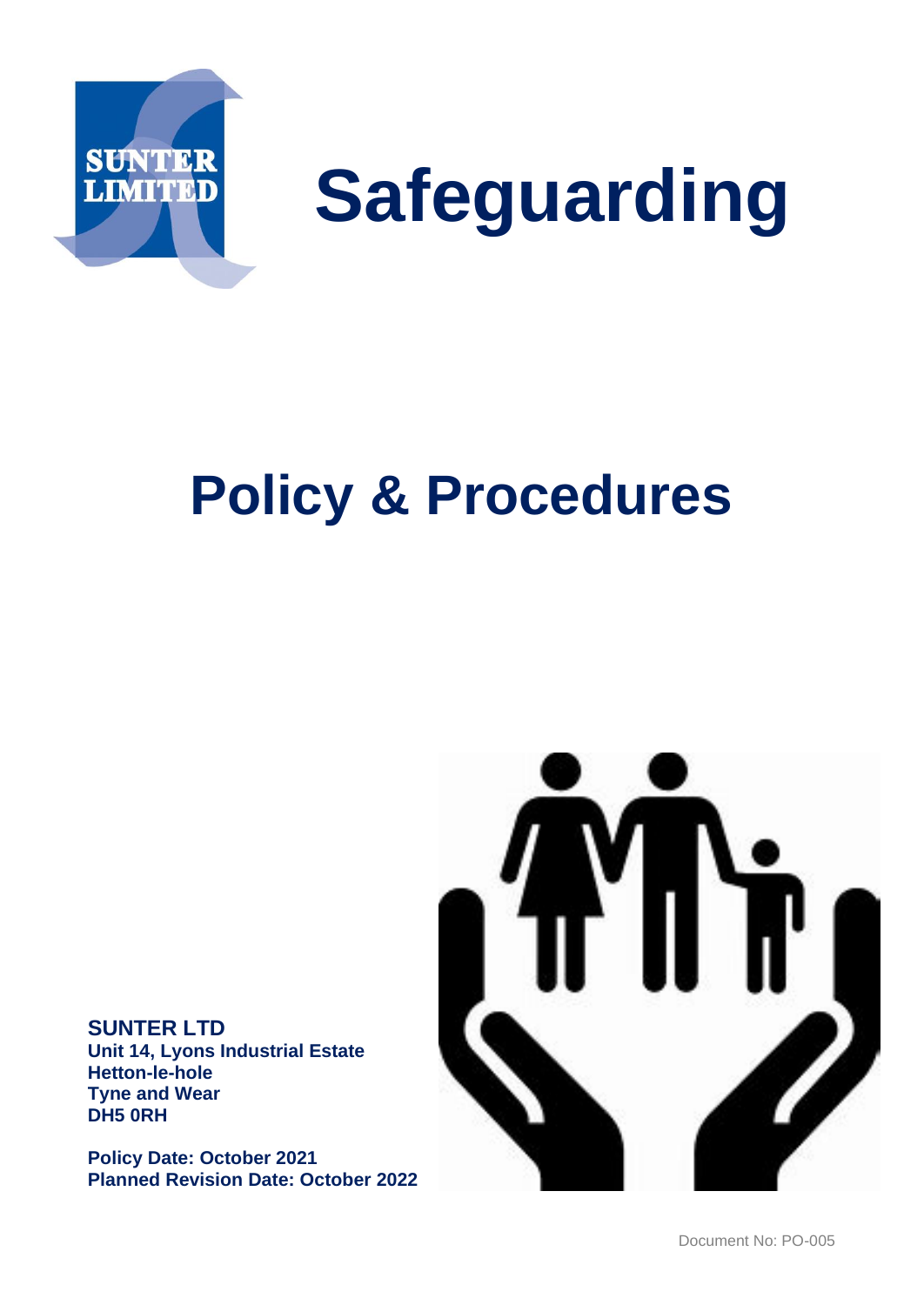

# **Safeguarding**

## **Policy & Procedures**

**SUNTER LTD Unit 14, Lyons Industrial Estate Hetton-le-hole Tyne and Wear DH5 0RH** 

**Policy Date: October 2021 Planned Revision Date: October 2022**

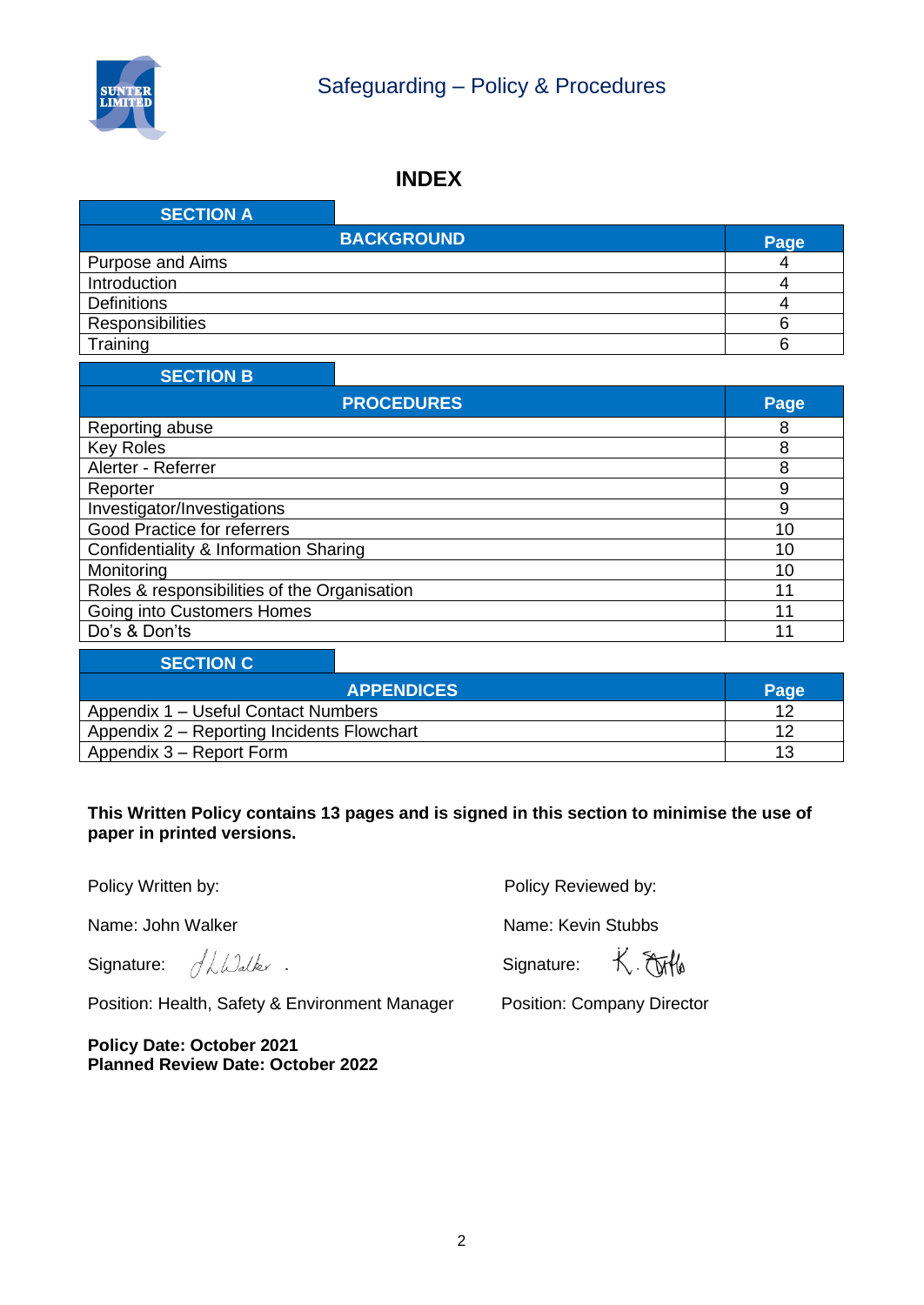

#### **INDEX**

| <b>SECTION A</b>   |                   |      |
|--------------------|-------------------|------|
|                    | <b>BACKGROUND</b> | Page |
| Purpose and Aims   |                   |      |
| Introduction       |                   |      |
| <b>Definitions</b> |                   |      |
| Responsibilities   |                   |      |
| Training           |                   |      |

#### **SECTION B**

| <b>PROCEDURES</b>                            | Page |
|----------------------------------------------|------|
| Reporting abuse                              | 8    |
| <b>Key Roles</b>                             | 8    |
| Alerter - Referrer                           | 8    |
| Reporter                                     | 9    |
| Investigator/Investigations                  | 9    |
| Good Practice for referrers                  | 10   |
| Confidentiality & Information Sharing        | 10   |
| Monitoring                                   | 10   |
| Roles & responsibilities of the Organisation | 11   |
| Going into Customers Homes                   | 11   |
| Do's & Don'ts                                | 11   |

| <b>SECTION C</b>                           |                   |      |
|--------------------------------------------|-------------------|------|
|                                            | <b>APPENDICES</b> | Page |
| Appendix 1 – Useful Contact Numbers        |                   |      |
| Appendix 2 – Reporting Incidents Flowchart |                   |      |
| Appendix 3 – Report Form                   |                   | 13   |

#### **This Written Policy contains 13 pages and is signed in this section to minimise the use of paper in printed versions.**

Name: John Walker Name: Kevin Stubbs

Signature:  $\frac{d}{d}$   $\frac{d}{d}$   $\frac{d}{d}$   $\frac{d}{d}$   $\frac{d}{d}$  . Signature:

Position: Health, Safety & Environment Manager Position: Company Director

**Policy Date: October 2021 Planned Review Date: October 2022**

Policy Written by: **Policy Reviewed by:** Policy Reviewed by:

K. Elifle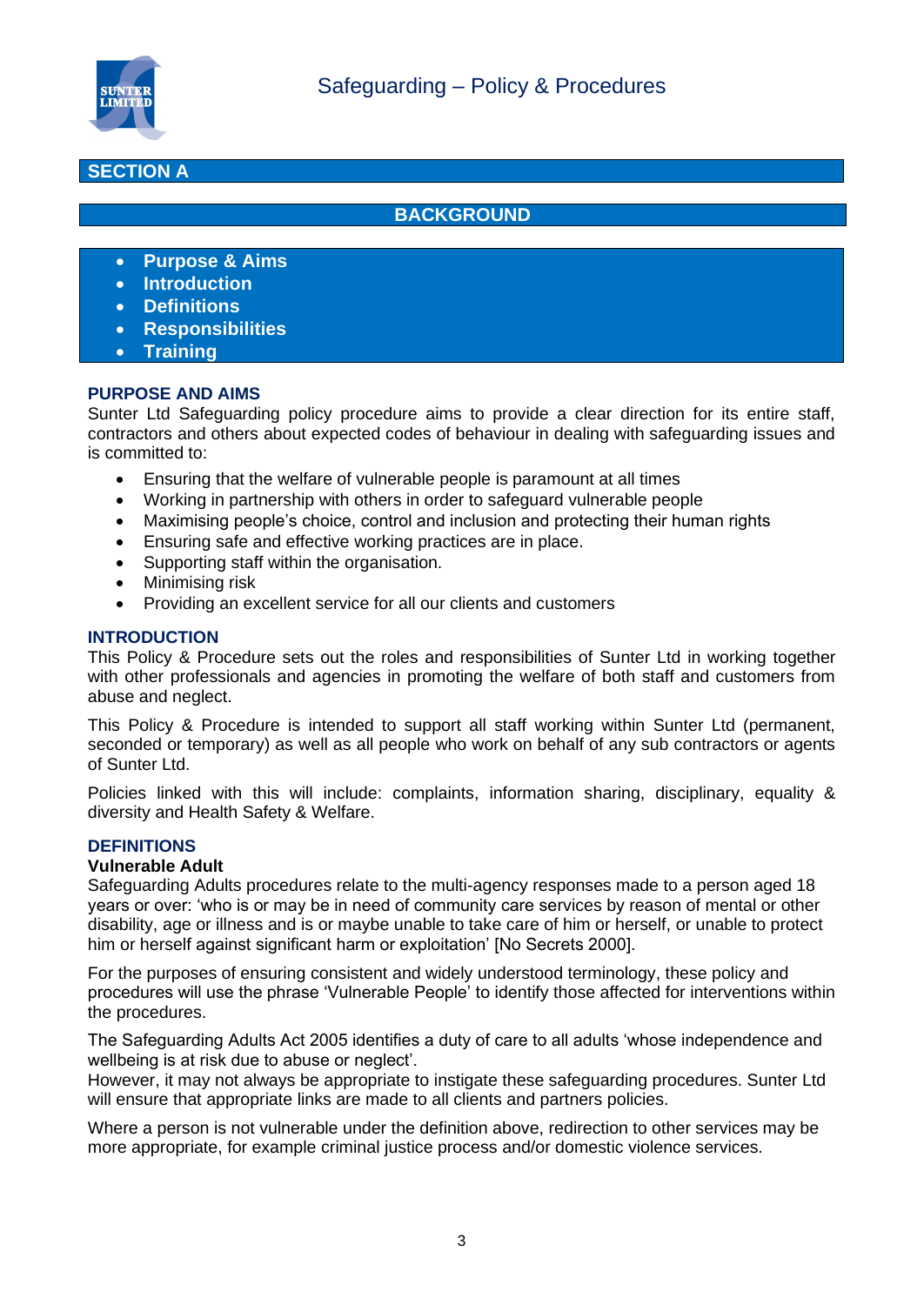

#### **SECTION A**

#### **BACKGROUND**

- **Purpose & Aims**
- **Introduction**
- **Definitions**
- **Responsibilities**
- **Training**

#### **PURPOSE AND AIMS**

Sunter Ltd Safeguarding policy procedure aims to provide a clear direction for its entire staff, contractors and others about expected codes of behaviour in dealing with safeguarding issues and is committed to:

- Ensuring that the welfare of vulnerable people is paramount at all times
- Working in partnership with others in order to safeguard vulnerable people
- Maximising people's choice, control and inclusion and protecting their human rights
- Ensuring safe and effective working practices are in place.
- Supporting staff within the organisation.
- Minimising risk
- Providing an excellent service for all our clients and customers

#### **INTRODUCTION**

This Policy & Procedure sets out the roles and responsibilities of Sunter Ltd in working together with other professionals and agencies in promoting the welfare of both staff and customers from abuse and neglect.

This Policy & Procedure is intended to support all staff working within Sunter Ltd (permanent, seconded or temporary) as well as all people who work on behalf of any sub contractors or agents of Sunter Ltd.

Policies linked with this will include: complaints, information sharing, disciplinary, equality & diversity and Health Safety & Welfare.

#### **DEFINITIONS**

#### **Vulnerable Adult**

Safeguarding Adults procedures relate to the multi-agency responses made to a person aged 18 years or over: 'who is or may be in need of community care services by reason of mental or other disability, age or illness and is or maybe unable to take care of him or herself, or unable to protect him or herself against significant harm or exploitation' [No Secrets 2000].

For the purposes of ensuring consistent and widely understood terminology, these policy and procedures will use the phrase 'Vulnerable People' to identify those affected for interventions within the procedures.

The Safeguarding Adults Act 2005 identifies a duty of care to all adults 'whose independence and wellbeing is at risk due to abuse or neglect'.

However, it may not always be appropriate to instigate these safeguarding procedures. Sunter Ltd will ensure that appropriate links are made to all clients and partners policies.

Where a person is not vulnerable under the definition above, redirection to other services may be more appropriate, for example criminal justice process and/or domestic violence services.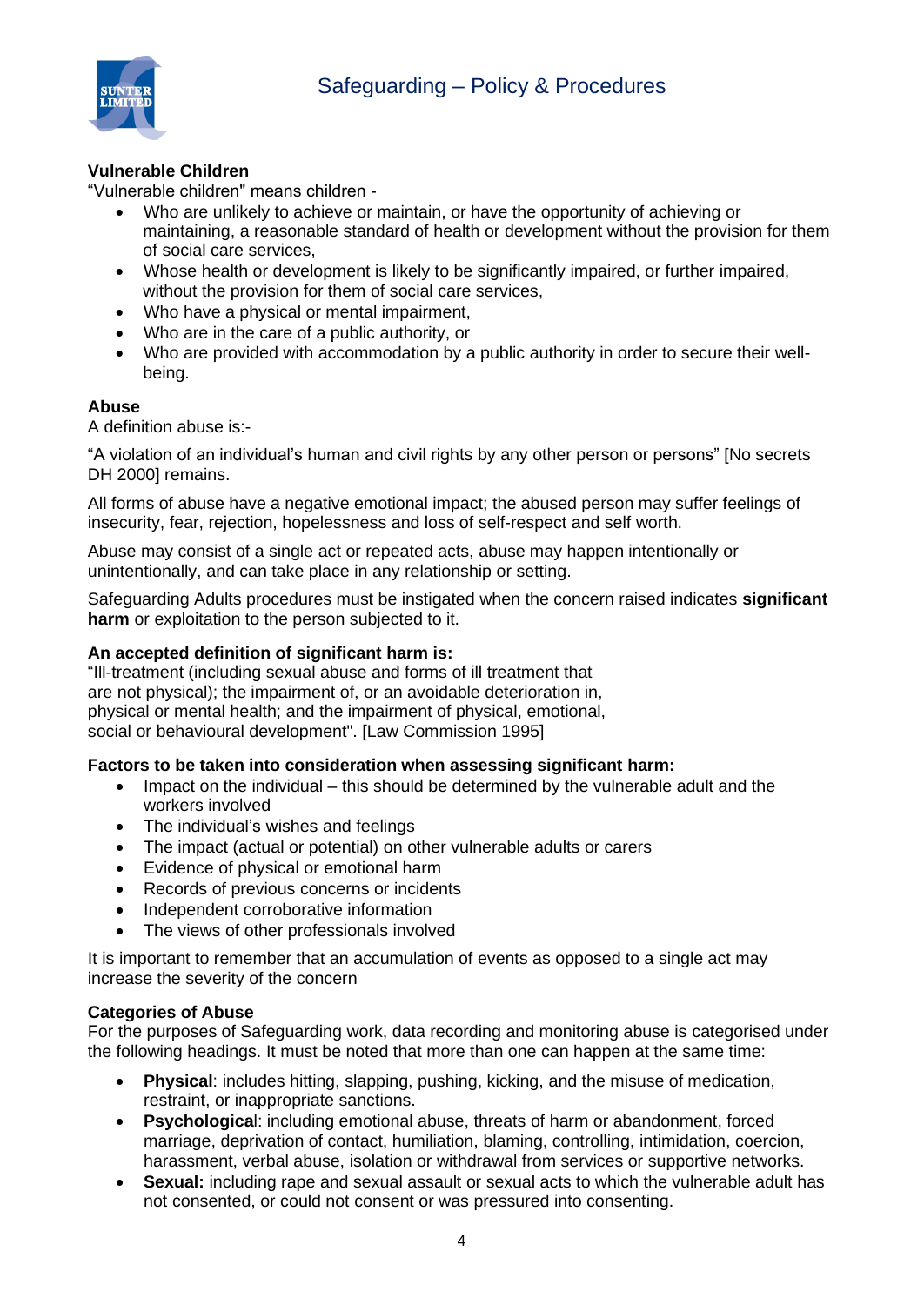

#### **Vulnerable Children**

"Vulnerable children" means children -

- Who are unlikely to achieve or maintain, or have the opportunity of achieving or maintaining, a reasonable standard of health or development without the provision for them of social care services,
- Whose health or development is likely to be significantly impaired, or further impaired, without the provision for them of social care services,
- Who have a physical or mental impairment,
- Who are in the care of a public authority, or
- Who are provided with accommodation by a public authority in order to secure their wellbeing.

#### **Abuse**

A definition abuse is:-

"A violation of an individual's human and civil rights by any other person or persons" [No secrets DH 2000] remains.

All forms of abuse have a negative emotional impact; the abused person may suffer feelings of insecurity, fear, rejection, hopelessness and loss of self-respect and self worth.

Abuse may consist of a single act or repeated acts, abuse may happen intentionally or unintentionally, and can take place in any relationship or setting.

Safeguarding Adults procedures must be instigated when the concern raised indicates **significant harm** or exploitation to the person subjected to it.

#### **An accepted definition of significant harm is:**

"Ill-treatment (including sexual abuse and forms of ill treatment that are not physical); the impairment of, or an avoidable deterioration in, physical or mental health; and the impairment of physical, emotional, social or behavioural development". [Law Commission 1995]

#### **Factors to be taken into consideration when assessing significant harm:**

- Impact on the individual this should be determined by the vulnerable adult and the workers involved
- The individual's wishes and feelings
- The impact (actual or potential) on other vulnerable adults or carers
- Evidence of physical or emotional harm
- Records of previous concerns or incidents
- Independent corroborative information
- The views of other professionals involved

It is important to remember that an accumulation of events as opposed to a single act may increase the severity of the concern

#### **Categories of Abuse**

For the purposes of Safeguarding work, data recording and monitoring abuse is categorised under the following headings. It must be noted that more than one can happen at the same time:

- **Physical**: includes hitting, slapping, pushing, kicking, and the misuse of medication, restraint, or inappropriate sanctions.
- **Psychologica**l: including emotional abuse, threats of harm or abandonment, forced marriage, deprivation of contact, humiliation, blaming, controlling, intimidation, coercion, harassment, verbal abuse, isolation or withdrawal from services or supportive networks.
- **Sexual:** including rape and sexual assault or sexual acts to which the vulnerable adult has not consented, or could not consent or was pressured into consenting.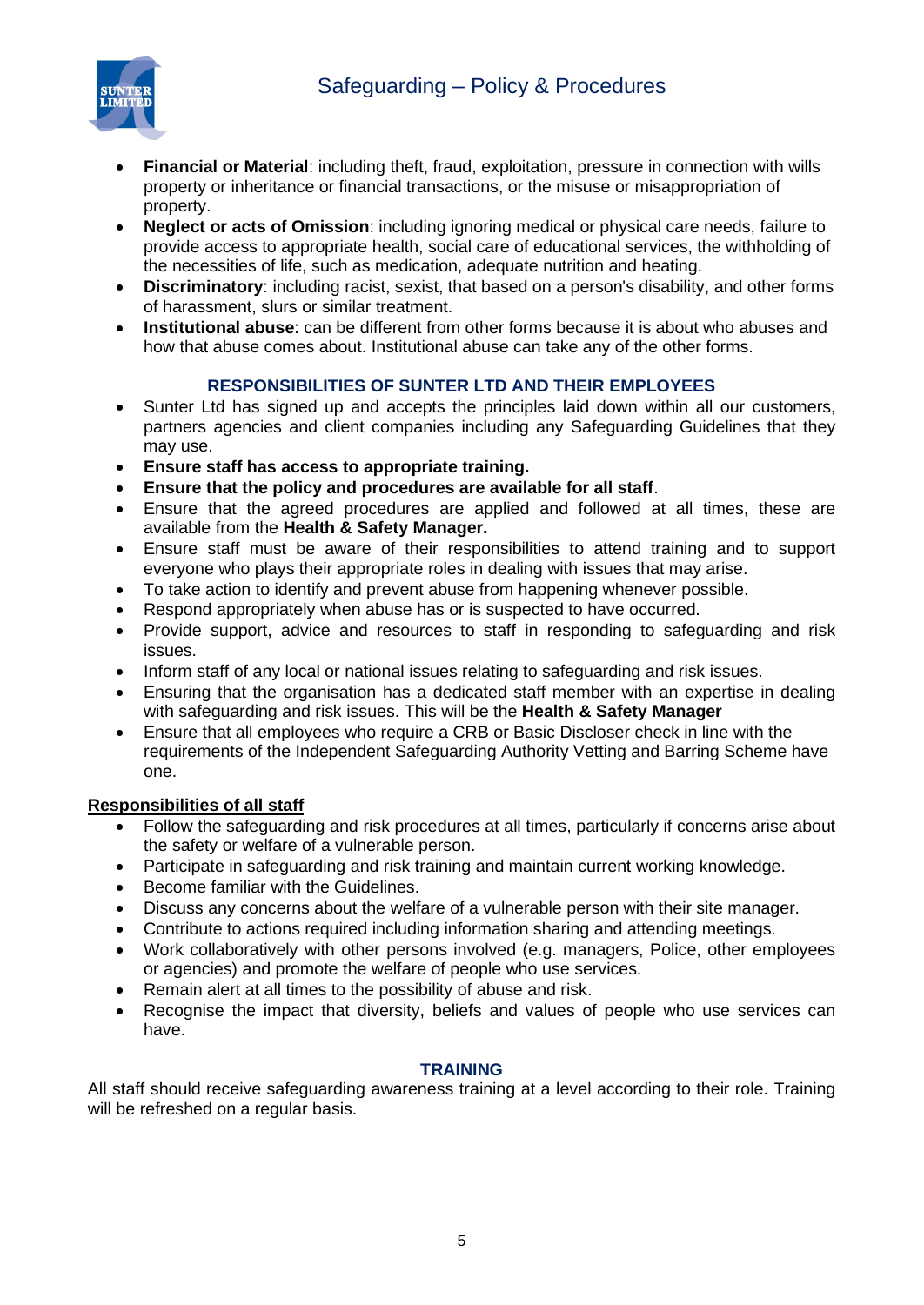## Safeguarding – Policy & Procedures



- **Financial or Material**: including theft, fraud, exploitation, pressure in connection with wills property or inheritance or financial transactions, or the misuse or misappropriation of property.
- **Neglect or acts of Omission**: including ignoring medical or physical care needs, failure to provide access to appropriate health, social care of educational services, the withholding of the necessities of life, such as medication, adequate nutrition and heating.
- **Discriminatory**: including racist, sexist, that based on a person's disability, and other forms of harassment, slurs or similar treatment.
- **Institutional abuse**: can be different from other forms because it is about who abuses and how that abuse comes about. Institutional abuse can take any of the other forms.

#### **RESPONSIBILITIES OF SUNTER LTD AND THEIR EMPLOYEES**

- Sunter Ltd has signed up and accepts the principles laid down within all our customers, partners agencies and client companies including any Safeguarding Guidelines that they may use.
- **Ensure staff has access to appropriate training.**
- **Ensure that the policy and procedures are available for all staff**.
- Ensure that the agreed procedures are applied and followed at all times, these are available from the **Health & Safety Manager.**
- Ensure staff must be aware of their responsibilities to attend training and to support everyone who plays their appropriate roles in dealing with issues that may arise.
- To take action to identify and prevent abuse from happening whenever possible.
- Respond appropriately when abuse has or is suspected to have occurred.
- Provide support, advice and resources to staff in responding to safeguarding and risk issues.
- Inform staff of any local or national issues relating to safeguarding and risk issues.
- Ensuring that the organisation has a dedicated staff member with an expertise in dealing with safeguarding and risk issues. This will be the **Health & Safety Manager**
- Ensure that all employees who require a CRB or Basic Discloser check in line with the requirements of the Independent Safeguarding Authority Vetting and Barring Scheme have one.

#### **Responsibilities of all staff**

- Follow the safeguarding and risk procedures at all times, particularly if concerns arise about the safety or welfare of a vulnerable person.
- Participate in safeguarding and risk training and maintain current working knowledge.
- Become familiar with the Guidelines.
- Discuss any concerns about the welfare of a vulnerable person with their site manager.
- Contribute to actions required including information sharing and attending meetings.
- Work collaboratively with other persons involved (e.g. managers, Police, other employees or agencies) and promote the welfare of people who use services.
- Remain alert at all times to the possibility of abuse and risk.
- Recognise the impact that diversity, beliefs and values of people who use services can have.

#### **TRAINING**

All staff should receive safeguarding awareness training at a level according to their role. Training will be refreshed on a regular basis.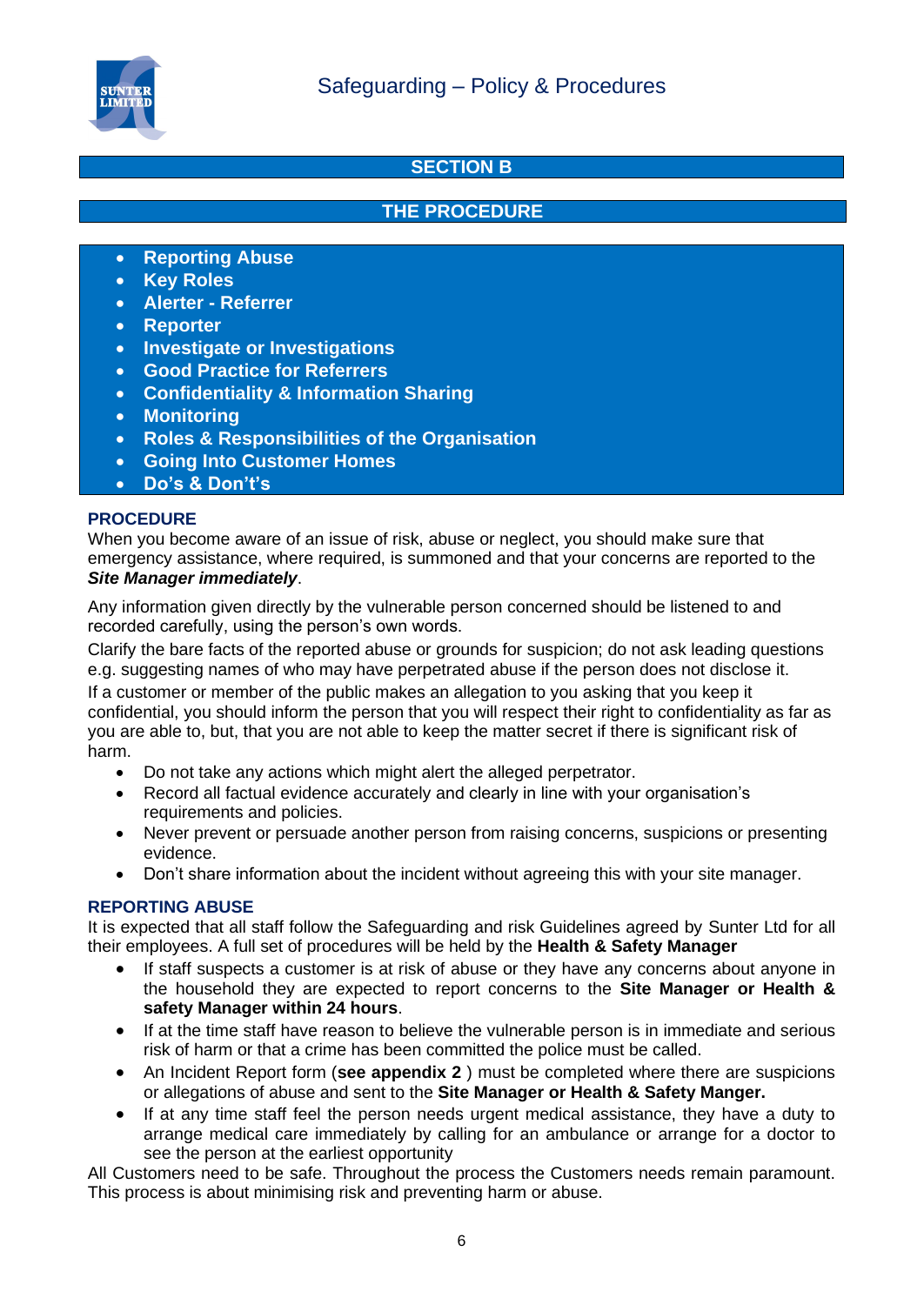

#### **SECTION B**

#### **THE PROCEDURE**

- **Reporting Abuse**
- **Key Roles**
- **Alerter - Referrer**
- **Reporter**
- **Investigate or Investigations**
- **Good Practice for Referrers**
- **Confidentiality & Information Sharing**
- **Monitoring**
- **Roles & Responsibilities of the Organisation**
- **Going Into Customer Homes**
- **Do's & Don't's**

#### **PROCEDURE**

When you become aware of an issue of risk, abuse or neglect, you should make sure that emergency assistance, where required, is summoned and that your concerns are reported to the *Site Manager immediately*.

Any information given directly by the vulnerable person concerned should be listened to and recorded carefully, using the person's own words.

Clarify the bare facts of the reported abuse or grounds for suspicion; do not ask leading questions e.g. suggesting names of who may have perpetrated abuse if the person does not disclose it.

If a customer or member of the public makes an allegation to you asking that you keep it confidential, you should inform the person that you will respect their right to confidentiality as far as you are able to, but, that you are not able to keep the matter secret if there is significant risk of harm.

- Do not take any actions which might alert the alleged perpetrator.
- Record all factual evidence accurately and clearly in line with your organisation's requirements and policies.
- Never prevent or persuade another person from raising concerns, suspicions or presenting evidence.
- Don't share information about the incident without agreeing this with your site manager.

#### **REPORTING ABUSE**

It is expected that all staff follow the Safeguarding and risk Guidelines agreed by Sunter Ltd for all their employees. A full set of procedures will be held by the **Health & Safety Manager** 

- If staff suspects a customer is at risk of abuse or they have any concerns about anyone in the household they are expected to report concerns to the **Site Manager or Health & safety Manager within 24 hours**.
- If at the time staff have reason to believe the vulnerable person is in immediate and serious risk of harm or that a crime has been committed the police must be called.
- An Incident Report form (**see appendix 2** ) must be completed where there are suspicions or allegations of abuse and sent to the **Site Manager or Health & Safety Manger.**
- If at any time staff feel the person needs urgent medical assistance, they have a duty to arrange medical care immediately by calling for an ambulance or arrange for a doctor to see the person at the earliest opportunity

All Customers need to be safe. Throughout the process the Customers needs remain paramount. This process is about minimising risk and preventing harm or abuse.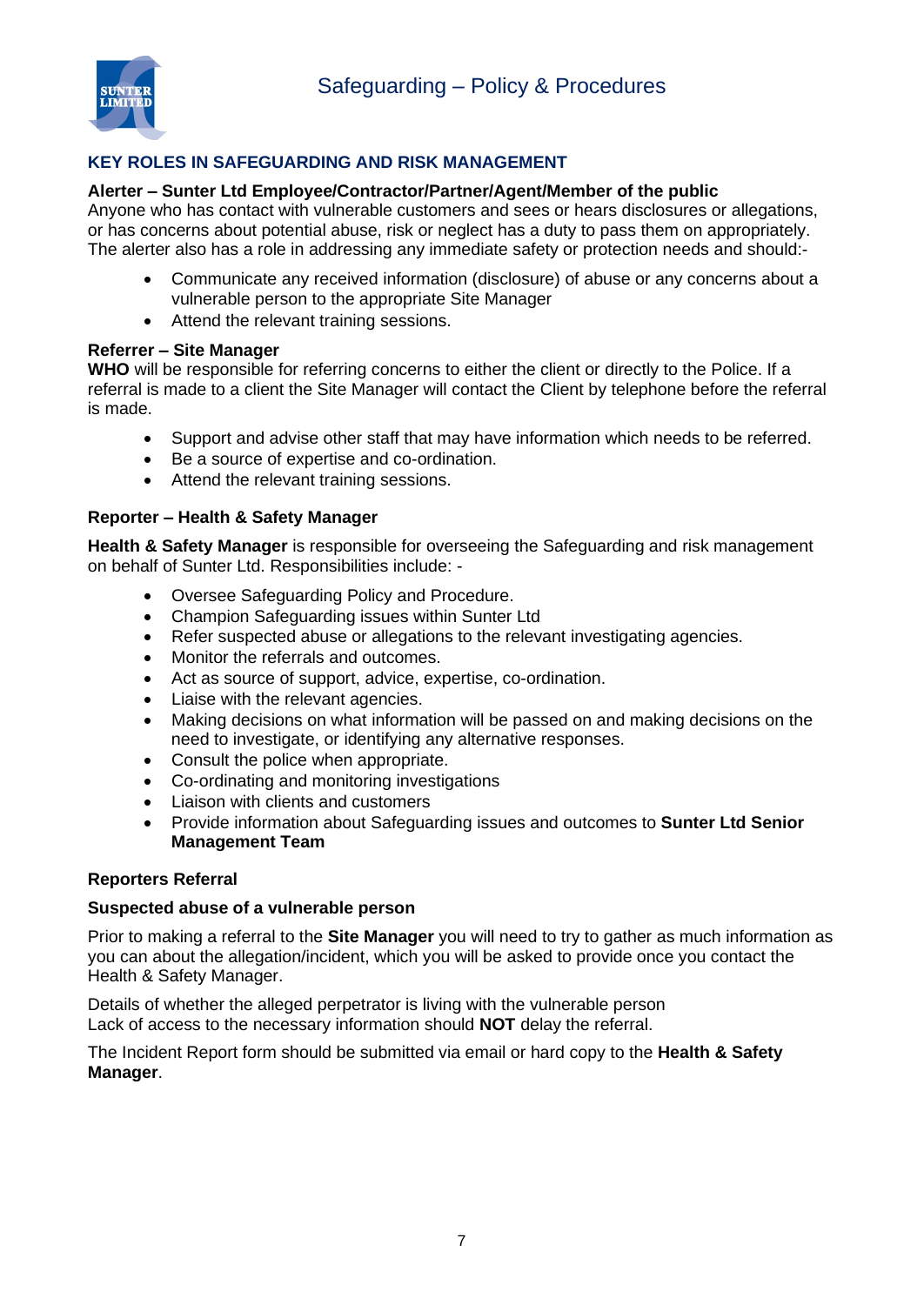

#### **KEY ROLES IN SAFEGUARDING AND RISK MANAGEMENT**

#### **Alerter – Sunter Ltd Employee/Contractor/Partner/Agent/Member of the public**

Anyone who has contact with vulnerable customers and sees or hears disclosures or allegations, or has concerns about potential abuse, risk or neglect has a duty to pass them on appropriately. The alerter also has a role in addressing any immediate safety or protection needs and should:-

- Communicate any received information (disclosure) of abuse or any concerns about a vulnerable person to the appropriate Site Manager
- Attend the relevant training sessions.

#### **Referrer – Site Manager**

**WHO** will be responsible for referring concerns to either the client or directly to the Police. If a referral is made to a client the Site Manager will contact the Client by telephone before the referral is made.

- Support and advise other staff that may have information which needs to be referred.
- Be a source of expertise and co-ordination.
- Attend the relevant training sessions.

#### **Reporter – Health & Safety Manager**

**Health & Safety Manager** is responsible for overseeing the Safeguarding and risk management on behalf of Sunter Ltd. Responsibilities include: -

- Oversee Safeguarding Policy and Procedure.
- Champion Safeguarding issues within Sunter Ltd
- Refer suspected abuse or allegations to the relevant investigating agencies.
- Monitor the referrals and outcomes.
- Act as source of support, advice, expertise, co-ordination.
- Liaise with the relevant agencies.
- Making decisions on what information will be passed on and making decisions on the need to investigate, or identifying any alternative responses.
- Consult the police when appropriate.
- Co-ordinating and monitoring investigations
- Liaison with clients and customers
- Provide information about Safeguarding issues and outcomes to **Sunter Ltd Senior Management Team**

#### **Reporters Referral**

#### **Suspected abuse of a vulnerable person**

Prior to making a referral to the **Site Manager** you will need to try to gather as much information as you can about the allegation/incident, which you will be asked to provide once you contact the Health & Safety Manager.

Details of whether the alleged perpetrator is living with the vulnerable person Lack of access to the necessary information should **NOT** delay the referral.

The Incident Report form should be submitted via email or hard copy to the **Health & Safety Manager**.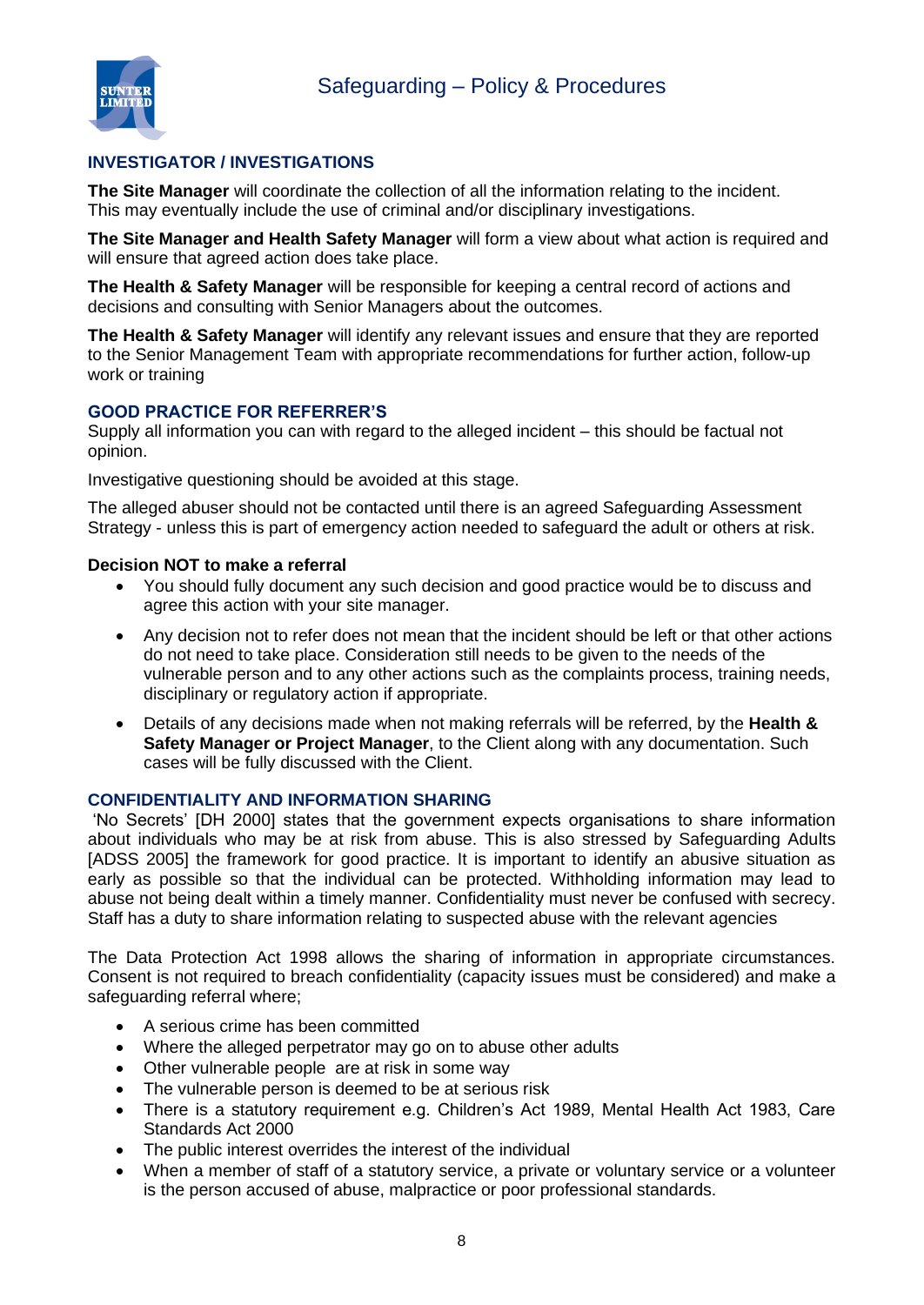

#### **INVESTIGATOR / INVESTIGATIONS**

**The Site Manager** will coordinate the collection of all the information relating to the incident. This may eventually include the use of criminal and/or disciplinary investigations.

**The Site Manager and Health Safety Manager** will form a view about what action is required and will ensure that agreed action does take place.

**The Health & Safety Manager** will be responsible for keeping a central record of actions and decisions and consulting with Senior Managers about the outcomes.

**The Health & Safety Manager** will identify any relevant issues and ensure that they are reported to the Senior Management Team with appropriate recommendations for further action, follow-up work or training

#### **GOOD PRACTICE FOR REFERRER'S**

Supply all information you can with regard to the alleged incident – this should be factual not opinion.

Investigative questioning should be avoided at this stage.

The alleged abuser should not be contacted until there is an agreed Safeguarding Assessment Strategy - unless this is part of emergency action needed to safeguard the adult or others at risk.

#### **Decision NOT to make a referral**

- You should fully document any such decision and good practice would be to discuss and agree this action with your site manager.
- Any decision not to refer does not mean that the incident should be left or that other actions do not need to take place. Consideration still needs to be given to the needs of the vulnerable person and to any other actions such as the complaints process, training needs, disciplinary or regulatory action if appropriate.
- Details of any decisions made when not making referrals will be referred, by the **Health & Safety Manager or Project Manager**, to the Client along with any documentation. Such cases will be fully discussed with the Client.

#### **CONFIDENTIALITY AND INFORMATION SHARING**

'No Secrets' [DH 2000] states that the government expects organisations to share information about individuals who may be at risk from abuse. This is also stressed by Safeguarding Adults [ADSS 2005] the framework for good practice. It is important to identify an abusive situation as early as possible so that the individual can be protected. Withholding information may lead to abuse not being dealt within a timely manner. Confidentiality must never be confused with secrecy. Staff has a duty to share information relating to suspected abuse with the relevant agencies

The Data Protection Act 1998 allows the sharing of information in appropriate circumstances. Consent is not required to breach confidentiality (capacity issues must be considered) and make a safeguarding referral where;

- A serious crime has been committed
- Where the alleged perpetrator may go on to abuse other adults
- Other vulnerable people are at risk in some way
- The vulnerable person is deemed to be at serious risk
- There is a statutory requirement e.g. Children's Act 1989, Mental Health Act 1983, Care Standards Act 2000
- The public interest overrides the interest of the individual
- When a member of staff of a statutory service, a private or voluntary service or a volunteer is the person accused of abuse, malpractice or poor professional standards.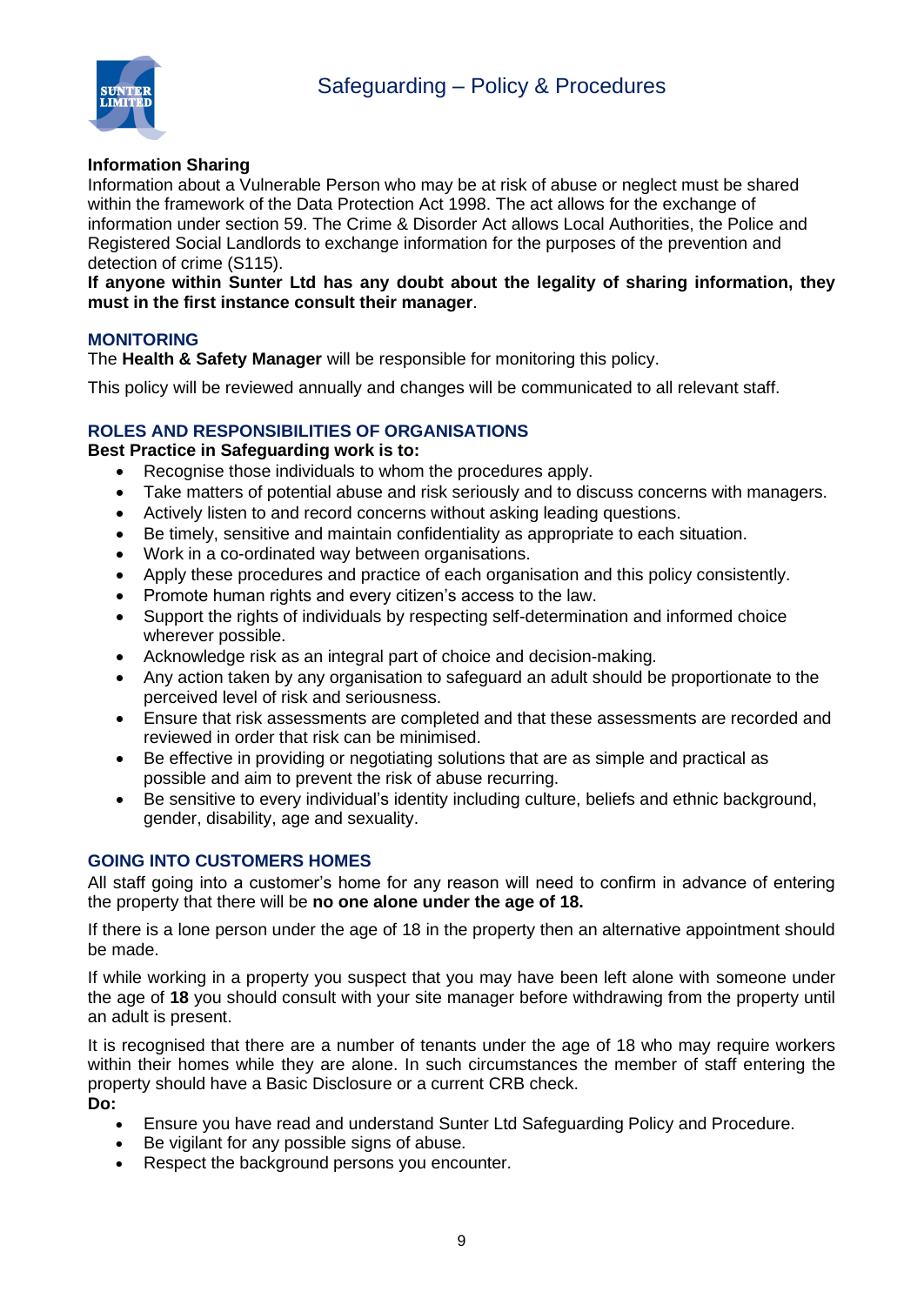

#### **Information Sharing**

Information about a Vulnerable Person who may be at risk of abuse or neglect must be shared within the framework of the Data Protection Act 1998. The act allows for the exchange of information under section 59. The Crime & Disorder Act allows Local Authorities, the Police and Registered Social Landlords to exchange information for the purposes of the prevention and detection of crime (S115).

**If anyone within Sunter Ltd has any doubt about the legality of sharing information, they must in the first instance consult their manager**.

#### **MONITORING**

The **Health & Safety Manager** will be responsible for monitoring this policy.

This policy will be reviewed annually and changes will be communicated to all relevant staff.

#### **ROLES AND RESPONSIBILITIES OF ORGANISATIONS**

#### **Best Practice in Safeguarding work is to:**

- Recognise those individuals to whom the procedures apply.
- Take matters of potential abuse and risk seriously and to discuss concerns with managers.
- Actively listen to and record concerns without asking leading questions.
- Be timely, sensitive and maintain confidentiality as appropriate to each situation.
- Work in a co-ordinated way between organisations.
- Apply these procedures and practice of each organisation and this policy consistently.
- Promote human rights and every citizen's access to the law.
- Support the rights of individuals by respecting self-determination and informed choice wherever possible.
- Acknowledge risk as an integral part of choice and decision-making.
- Any action taken by any organisation to safeguard an adult should be proportionate to the perceived level of risk and seriousness.
- Ensure that risk assessments are completed and that these assessments are recorded and reviewed in order that risk can be minimised.
- Be effective in providing or negotiating solutions that are as simple and practical as possible and aim to prevent the risk of abuse recurring.
- Be sensitive to every individual's identity including culture, beliefs and ethnic background, gender, disability, age and sexuality.

#### **GOING INTO CUSTOMERS HOMES**

All staff going into a customer's home for any reason will need to confirm in advance of entering the property that there will be **no one alone under the age of 18.**

If there is a lone person under the age of 18 in the property then an alternative appointment should be made.

If while working in a property you suspect that you may have been left alone with someone under the age of **18** you should consult with your site manager before withdrawing from the property until an adult is present.

It is recognised that there are a number of tenants under the age of 18 who may require workers within their homes while they are alone. In such circumstances the member of staff entering the property should have a Basic Disclosure or a current CRB check. **Do:**

- Ensure you have read and understand Sunter Ltd Safeguarding Policy and Procedure.
- Be vigilant for any possible signs of abuse.
- Respect the background persons you encounter.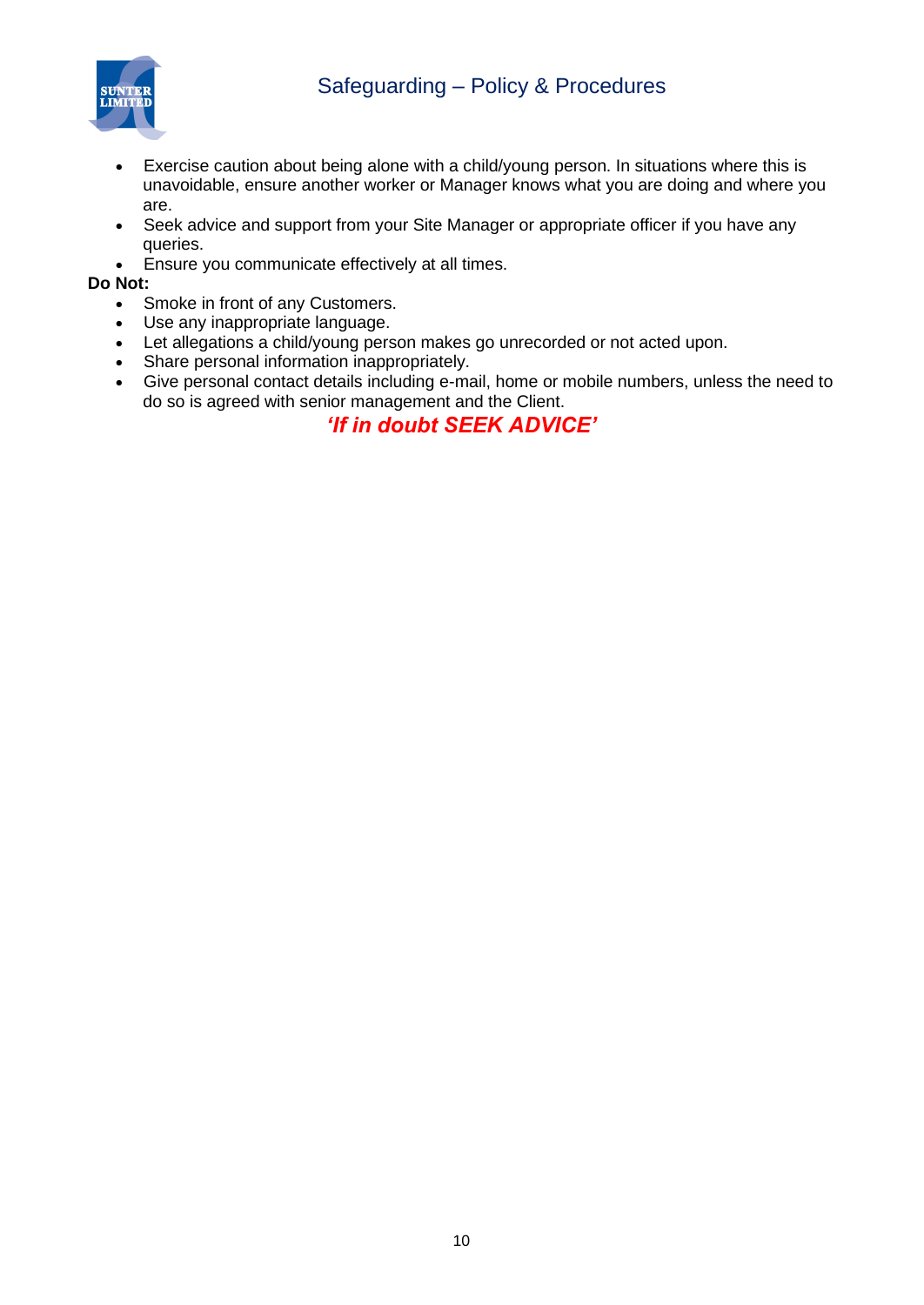## Safeguarding – Policy & Procedures



- Exercise caution about being alone with a child/young person. In situations where this is unavoidable, ensure another worker or Manager knows what you are doing and where you are.
- Seek advice and support from your Site Manager or appropriate officer if you have any queries.
- Ensure you communicate effectively at all times.

#### **Do Not:**

- Smoke in front of any Customers.
- Use any inappropriate language.
- Let allegations a child/young person makes go unrecorded or not acted upon.
- Share personal information inappropriately.
- Give personal contact details including e-mail, home or mobile numbers, unless the need to do so is agreed with senior management and the Client.

#### *'If in doubt SEEK ADVICE'*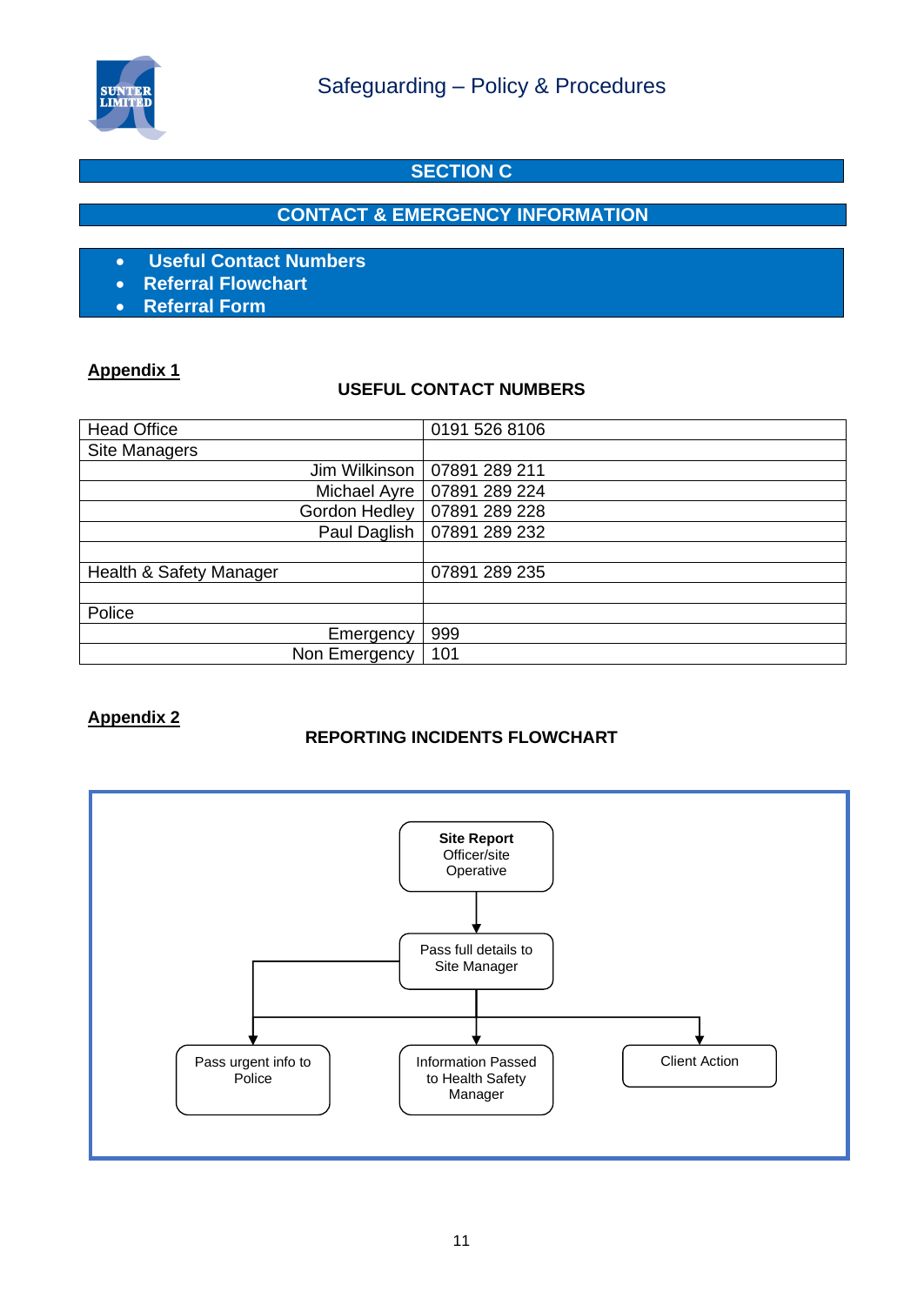

#### **SECTION C**

#### **CONTACT & EMERGENCY INFORMATION**

- **Useful Contact Numbers**
- **Referral Flowchart**
- **Referral Form**

#### **Appendix 1**

#### **USEFUL CONTACT NUMBERS**

| <b>Head Office</b>      | 0191 526 8106 |
|-------------------------|---------------|
| Site Managers           |               |
| Jim Wilkinson           | 07891 289 211 |
| Michael Ayre            | 07891 289 224 |
| Gordon Hedley           | 07891 289 228 |
| Paul Daglish            | 07891 289 232 |
|                         |               |
| Health & Safety Manager | 07891 289 235 |
|                         |               |
| Police                  |               |
| Emergency               | 999           |
| Non Emergency           | 101           |

#### **Appendix 2**

#### **REPORTING INCIDENTS FLOWCHART**

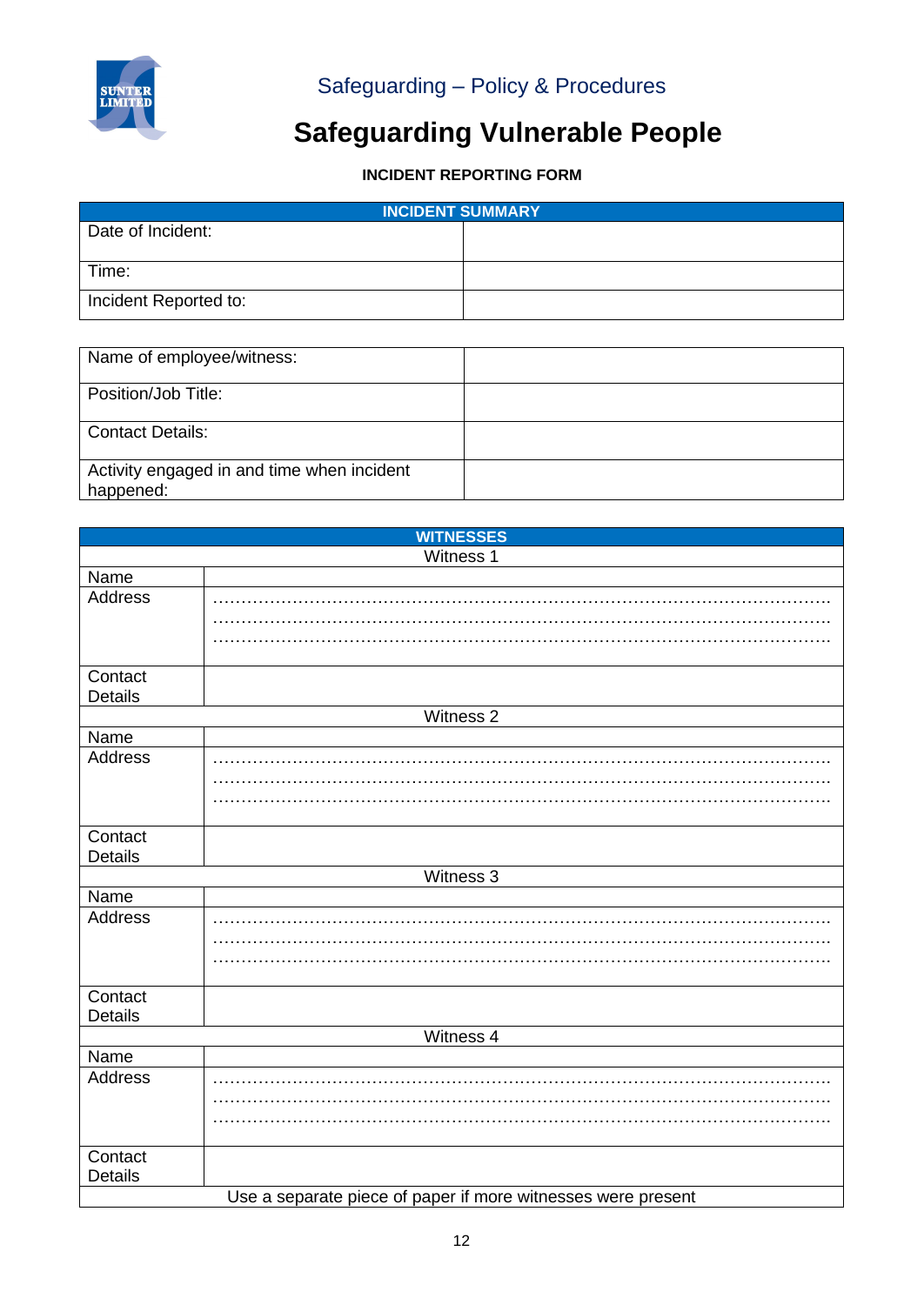

## Safeguarding – Policy & Procedures

## **Safeguarding Vulnerable People**

### **INCIDENT REPORTING FORM**

| <b>INCIDENT SUMMARY</b> |  |  |
|-------------------------|--|--|
| Date of Incident:       |  |  |
|                         |  |  |
| Time:                   |  |  |
| Incident Reported to:   |  |  |

| Name of employee/witness:                               |  |
|---------------------------------------------------------|--|
| Position/Job Title:                                     |  |
| <b>Contact Details:</b>                                 |  |
| Activity engaged in and time when incident<br>happened: |  |

| <b>WITNESSES</b> |                                                              |
|------------------|--------------------------------------------------------------|
|                  | Witness 1                                                    |
| Name             |                                                              |
| Address          |                                                              |
|                  |                                                              |
|                  |                                                              |
| Contact          |                                                              |
| Details          |                                                              |
|                  | Witness 2                                                    |
| Name             |                                                              |
| Address          |                                                              |
|                  |                                                              |
|                  |                                                              |
| Contact          |                                                              |
| Details          |                                                              |
|                  | Witness 3                                                    |
| Name             |                                                              |
| Address          |                                                              |
|                  |                                                              |
|                  |                                                              |
| Contact          |                                                              |
| <b>Details</b>   |                                                              |
|                  | Witness 4                                                    |
| Name             |                                                              |
| Address          |                                                              |
|                  |                                                              |
|                  |                                                              |
|                  |                                                              |
| Contact          |                                                              |
| <b>Details</b>   |                                                              |
|                  | Use a separate piece of paper if more witnesses were present |